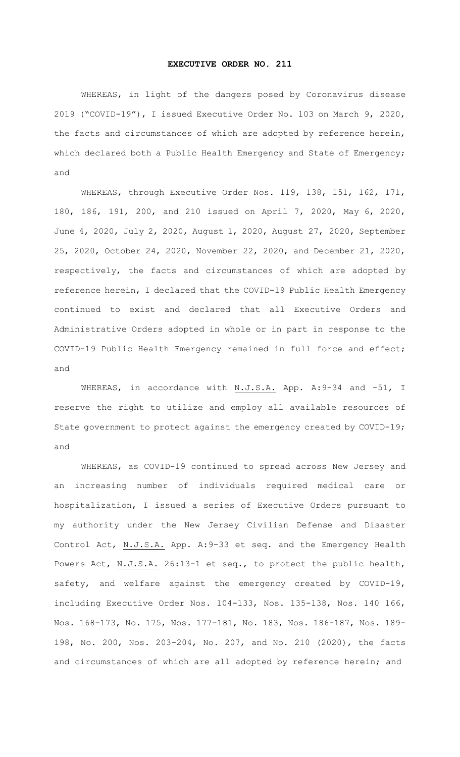## **EXECUTIVE ORDER NO. 211**

WHEREAS, in light of the dangers posed by Coronavirus disease 2019 ("COVID-19"), I issued Executive Order No. 103 on March 9, 2020, the facts and circumstances of which are adopted by reference herein, which declared both a Public Health Emergency and State of Emergency; and

WHEREAS, through Executive Order Nos. 119, 138, 151, 162, 171, 180, 186, 191, 200, and 210 issued on April 7, 2020, May 6, 2020, June 4, 2020, July 2, 2020, August 1, 2020, August 27, 2020, September 25, 2020, October 24, 2020, November 22, 2020, and December 21, 2020, respectively, the facts and circumstances of which are adopted by reference herein, I declared that the COVID-19 Public Health Emergency continued to exist and declared that all Executive Orders and Administrative Orders adopted in whole or in part in response to the COVID-19 Public Health Emergency remained in full force and effect; and

WHEREAS, in accordance with N.J.S.A. App. A:9-34 and -51, I reserve the right to utilize and employ all available resources of State government to protect against the emergency created by COVID-19; and

WHEREAS, as COVID-19 continued to spread across New Jersey and an increasing number of individuals required medical care or hospitalization, I issued a series of Executive Orders pursuant to my authority under the New Jersey Civilian Defense and Disaster Control Act, N.J.S.A. App. A:9-33 et seq. and the Emergency Health Powers Act, N.J.S.A. 26:13-1 et seq., to protect the public health, safety, and welfare against the emergency created by COVID-19, including Executive Order Nos. 104-133, Nos. 135-138, Nos. 140 166, Nos. 168-173, No. 175, Nos. 177-181, No. 183, Nos. 186-187, Nos. 189- 198, No. 200, Nos. 203-204, No. 207, and No. 210 (2020), the facts and circumstances of which are all adopted by reference herein; and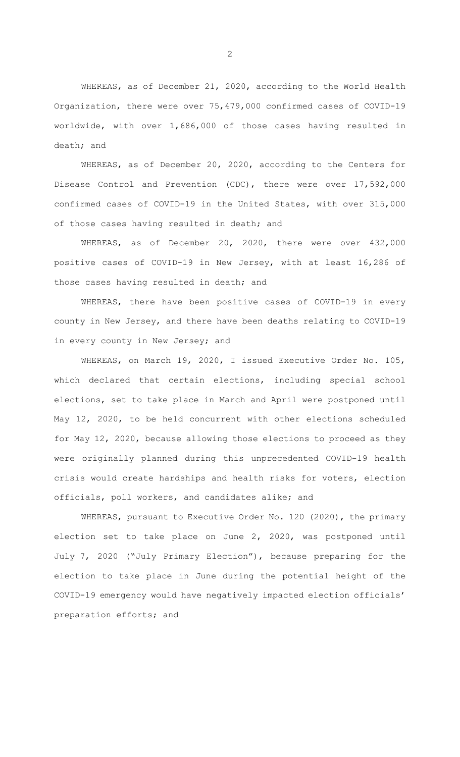WHEREAS, as of December 21, 2020, according to the World Health Organization, there were over 75,479,000 confirmed cases of COVID-19 worldwide, with over 1,686,000 of those cases having resulted in death; and

WHEREAS, as of December 20, 2020, according to the Centers for Disease Control and Prevention (CDC), there were over 17,592,000 confirmed cases of COVID-19 in the United States, with over 315,000 of those cases having resulted in death; and

WHEREAS, as of December 20, 2020, there were over 432,000 positive cases of COVID-19 in New Jersey, with at least 16,286 of those cases having resulted in death; and

WHEREAS, there have been positive cases of COVID-19 in every county in New Jersey, and there have been deaths relating to COVID-19 in every county in New Jersey; and

WHEREAS, on March 19, 2020, I issued Executive Order No. 105, which declared that certain elections, including special school elections, set to take place in March and April were postponed until May 12, 2020, to be held concurrent with other elections scheduled for May 12, 2020, because allowing those elections to proceed as they were originally planned during this unprecedented COVID-19 health crisis would create hardships and health risks for voters, election officials, poll workers, and candidates alike; and

WHEREAS, pursuant to Executive Order No. 120 (2020), the primary election set to take place on June 2, 2020, was postponed until July 7, 2020 ("July Primary Election"), because preparing for the election to take place in June during the potential height of the COVID-19 emergency would have negatively impacted election officials' preparation efforts; and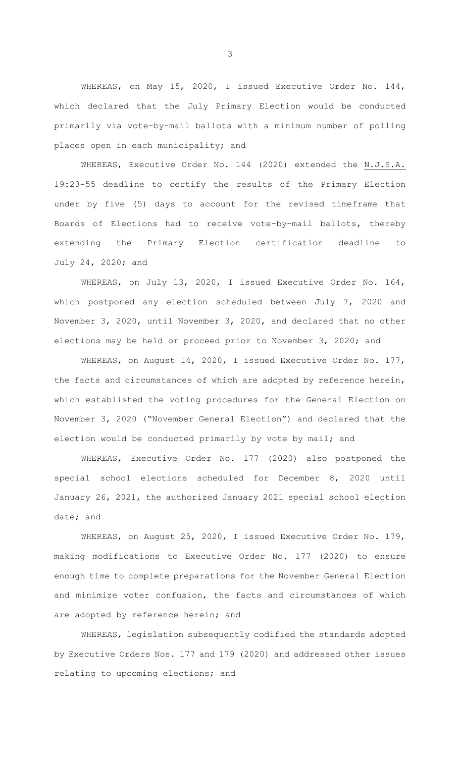WHEREAS, on May 15, 2020, I issued Executive Order No. 144, which declared that the July Primary Election would be conducted primarily via vote-by-mail ballots with a minimum number of polling places open in each municipality; and

WHEREAS, Executive Order No. 144 (2020) extended the N.J.S.A. 19:23-55 deadline to certify the results of the Primary Election under by five (5) days to account for the revised timeframe that Boards of Elections had to receive vote-by-mail ballots, thereby extending the Primary Election certification deadline to July 24, 2020; and

WHEREAS, on July 13, 2020, I issued Executive Order No. 164, which postponed any election scheduled between July 7, 2020 and November 3, 2020, until November 3, 2020, and declared that no other elections may be held or proceed prior to November 3, 2020; and

WHEREAS, on August 14, 2020, I issued Executive Order No. 177, the facts and circumstances of which are adopted by reference herein, which established the voting procedures for the General Election on November 3, 2020 ("November General Election") and declared that the election would be conducted primarily by vote by mail; and

WHEREAS, Executive Order No. 177 (2020) also postponed the special school elections scheduled for December 8, 2020 until January 26, 2021, the authorized January 2021 special school election date; and

WHEREAS, on August 25, 2020, I issued Executive Order No. 179, making modifications to Executive Order No. 177 (2020) to ensure enough time to complete preparations for the November General Election and minimize voter confusion, the facts and circumstances of which are adopted by reference herein; and

WHEREAS, legislation subsequently codified the standards adopted by Executive Orders Nos. 177 and 179 (2020) and addressed other issues relating to upcoming elections; and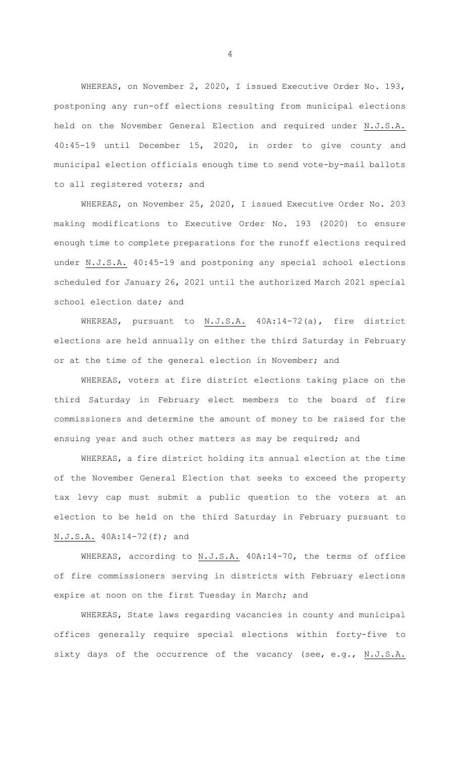WHEREAS, on November 2, 2020, I issued Executive Order No. 193, postponing any run-off elections resulting from municipal elections held on the November General Election and required under N.J.S.A. 40:45-19 until December 15, 2020, in order to give county and municipal election officials enough time to send vote-by-mail ballots to all registered voters; and

WHEREAS, on November 25, 2020, I issued Executive Order No. 203 making modifications to Executive Order No. 193 (2020) to ensure enough time to complete preparations for the runoff elections required under N.J.S.A. 40:45-19 and postponing any special school elections scheduled for January 26, 2021 until the authorized March 2021 special school election date; and

WHEREAS, pursuant to N.J.S.A. 40A:14-72(a), fire district elections are held annually on either the third Saturday in February or at the time of the general election in November; and

WHEREAS, voters at fire district elections taking place on the third Saturday in February elect members to the board of fire commissioners and determine the amount of money to be raised for the ensuing year and such other matters as may be required; and

WHEREAS, a fire district holding its annual election at the time of the November General Election that seeks to exceed the property tax levy cap must submit a public question to the voters at an election to be held on the third Saturday in February pursuant to N.J.S.A. 40A:14-72(f); and

WHEREAS, according to N.J.S.A. 40A:14-70, the terms of office of fire commissioners serving in districts with February elections expire at noon on the first Tuesday in March; and

WHEREAS, State laws regarding vacancies in county and municipal offices generally require special elections within forty-five to sixty days of the occurrence of the vacancy (see, e.g., N.J.S.A.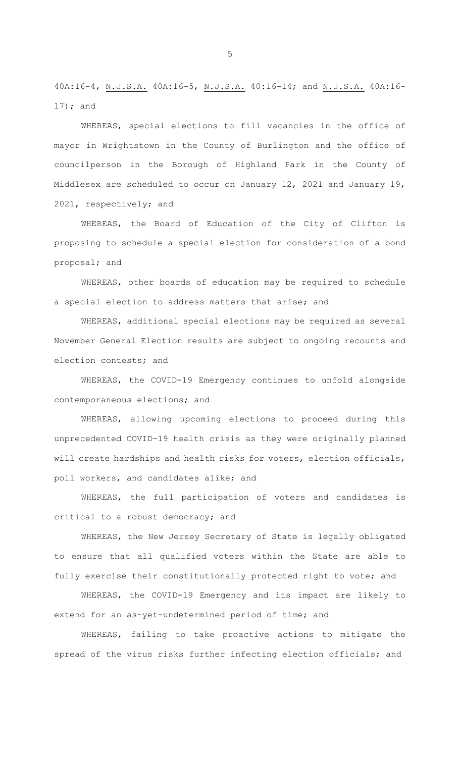40A:16-4, N.J.S.A. 40A:16-5, N.J.S.A. 40:16-14; and N.J.S.A. 40A:16- 17); and

WHEREAS, special elections to fill vacancies in the office of mayor in Wrightstown in the County of Burlington and the office of councilperson in the Borough of Highland Park in the County of Middlesex are scheduled to occur on January 12, 2021 and January 19, 2021, respectively; and

WHEREAS, the Board of Education of the City of Clifton is proposing to schedule a special election for consideration of a bond proposal; and

WHEREAS, other boards of education may be required to schedule a special election to address matters that arise; and

WHEREAS, additional special elections may be required as several November General Election results are subject to ongoing recounts and election contests; and

WHEREAS, the COVID-19 Emergency continues to unfold alongside contemporaneous elections; and

WHEREAS, allowing upcoming elections to proceed during this unprecedented COVID-19 health crisis as they were originally planned will create hardships and health risks for voters, election officials, poll workers, and candidates alike; and

WHEREAS, the full participation of voters and candidates is critical to a robust democracy; and

WHEREAS, the New Jersey Secretary of State is legally obligated to ensure that all qualified voters within the State are able to fully exercise their constitutionally protected right to vote; and

WHEREAS, the COVID-19 Emergency and its impact are likely to extend for an as-yet-undetermined period of time; and

WHEREAS, failing to take proactive actions to mitigate the spread of the virus risks further infecting election officials; and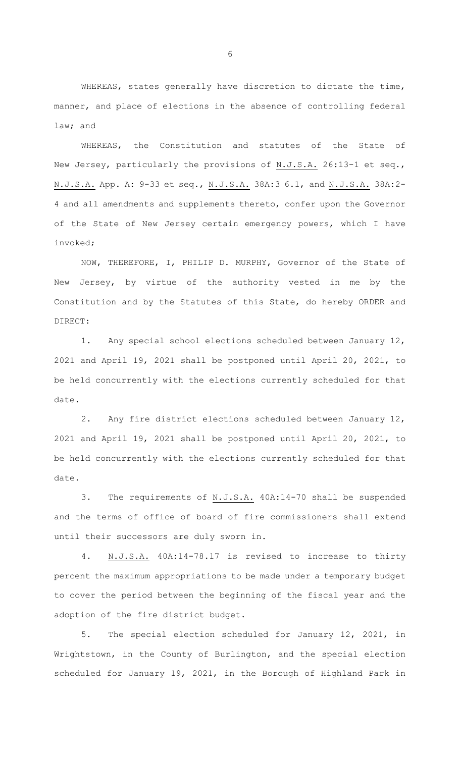WHEREAS, states generally have discretion to dictate the time, manner, and place of elections in the absence of controlling federal law; and

WHEREAS, the Constitution and statutes of the State of New Jersey, particularly the provisions of N.J.S.A. 26:13-1 et seq., N.J.S.A. App. A: 9-33 et seq., N.J.S.A. 38A:3 6.1, and N.J.S.A. 38A:2- 4 and all amendments and supplements thereto, confer upon the Governor of the State of New Jersey certain emergency powers, which I have invoked;

NOW, THEREFORE, I, PHILIP D. MURPHY, Governor of the State of New Jersey, by virtue of the authority vested in me by the Constitution and by the Statutes of this State, do hereby ORDER and DIRECT:

1. Any special school elections scheduled between January 12, 2021 and April 19, 2021 shall be postponed until April 20, 2021, to be held concurrently with the elections currently scheduled for that date.

2. Any fire district elections scheduled between January 12, 2021 and April 19, 2021 shall be postponed until April 20, 2021, to be held concurrently with the elections currently scheduled for that date.

3. The requirements of N.J.S.A. 40A:14-70 shall be suspended and the terms of office of board of fire commissioners shall extend until their successors are duly sworn in.

4. N.J.S.A. 40A:14-78.17 is revised to increase to thirty percent the maximum appropriations to be made under a temporary budget to cover the period between the beginning of the fiscal year and the adoption of the fire district budget.

5. The special election scheduled for January 12, 2021, in Wrightstown, in the County of Burlington, and the special election scheduled for January 19, 2021, in the Borough of Highland Park in